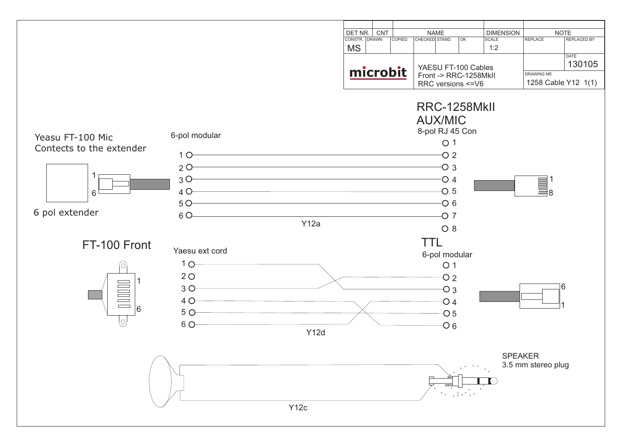